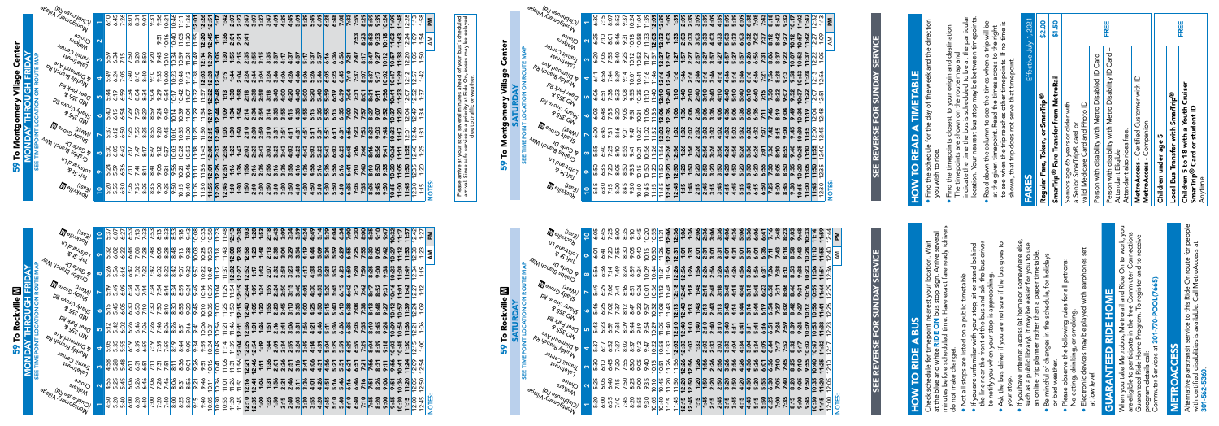

59 To Rockville m

59

To Rockville **III**<br>SATURDAY

| ı |  |
|---|--|
|   |  |
|   |  |
| i |  |
|   |  |
|   |  |
|   |  |
|   |  |
|   |  |
|   |  |

## 59 To Montgomery Village Center **59 To Montgomery Village Center**<br>MONDAY THROUGH FRIDAY<br>SEE TIMEPOINT LOCATION ON ROUTE MAP MONDAY THROUGH FRIDAY

SATURDAY

SEE TIMEPOINT LOCATION ON ROUTE MAP



|               | 6:07 | 6:27                | $\ddot{9}$                                                             |                                                                                  | ن.<br>ا                                              |                          |                     | ო<br>္သ                                       |                                                                                                                                                                                                                                                                                             |      | ო                                                                    | 10:08                                                                                                                     |                                                                                         | ∞                                                                                     |                                                         |                                                                                                                                                                           |                                                                                                                  |                                                                                                  | m<br>$\ddot{ }$ ::                                                                             |                                                                                   | $\ddot{5}$                                                                                                                                                                                                                | 2:18                                  |                      |        |                          |                                                                                                                  | 4:49                                                                                                                                                                                                                                                                                               | 4                                                                                                                                   |                                    |              |                                                                                       |                                             |                                                                                         |                                                                             |                                                         |                                                                                                 | $\dot{a}$        | 10:3               | 111         | ÿ.<br>$\overline{\phantom{0}}$<br>᠆ | ż.<br>$\overline{ }$                        |                          | ᅙ                                                                                                                                                                                                      |
|---------------|------|---------------------|------------------------------------------------------------------------|----------------------------------------------------------------------------------|------------------------------------------------------|--------------------------|---------------------|-----------------------------------------------|---------------------------------------------------------------------------------------------------------------------------------------------------------------------------------------------------------------------------------------------------------------------------------------------|------|----------------------------------------------------------------------|---------------------------------------------------------------------------------------------------------------------------|-----------------------------------------------------------------------------------------|---------------------------------------------------------------------------------------|---------------------------------------------------------|---------------------------------------------------------------------------------------------------------------------------------------------------------------------------|------------------------------------------------------------------------------------------------------------------|--------------------------------------------------------------------------------------------------|------------------------------------------------------------------------------------------------|-----------------------------------------------------------------------------------|---------------------------------------------------------------------------------------------------------------------------------------------------------------------------------------------------------------------------|---------------------------------------|----------------------|--------|--------------------------|------------------------------------------------------------------------------------------------------------------|----------------------------------------------------------------------------------------------------------------------------------------------------------------------------------------------------------------------------------------------------------------------------------------------------|-------------------------------------------------------------------------------------------------------------------------------------|------------------------------------|--------------|---------------------------------------------------------------------------------------|---------------------------------------------|-----------------------------------------------------------------------------------------|-----------------------------------------------------------------------------|---------------------------------------------------------|-------------------------------------------------------------------------------------------------|------------------|--------------------|-------------|-------------------------------------|---------------------------------------------|--------------------------|--------------------------------------------------------------------------------------------------------------------------------------------------------------------------------------------------------|
| 5.3<br>5      |      |                     | 6:48                                                                   |                                                                                  |                                                      |                          |                     | 8:28                                          | 8:48                                                                                                                                                                                                                                                                                        |      |                                                                      | ო<br>10:0                                                                                                                 |                                                                                         | ო                                                                                     |                                                         |                                                                                                                                                                           |                                                                                                                  |                                                                                                  | 2:58<br>$\mathbf{\tau}$                                                                        |                                                                                   | 1:48                                                                                                                                                                                                                      |                                       |                      |        |                          | 4:19                                                                                                             | 4:44                                                                                                                                                                                                                                                                                               |                                                                                                                                     |                                    |              | ᡡ<br>6:2                                                                              | <b>LG</b><br>6:5                            |                                                                                         | LQ.                                                                         | 8:30                                                    | 9:0                                                                                             | $\dot{\bm{z}}$   | 10:2               | 11:1        | ÿ.<br>11                            |                                             | $\overline{\phantom{0}}$ | Σ<br>⋖                                                                                                                                                                                                 |
|               |      | ╰<br>$\overline{6}$ | 6:42                                                                   |                                                                                  |                                                      |                          |                     | 8:2                                           |                                                                                                                                                                                                                                                                                             |      |                                                                      | 9:5                                                                                                                       |                                                                                         |                                                                                       |                                                         |                                                                                                                                                                           | N                                                                                                                |                                                                                                  | N                                                                                              |                                                                                   |                                                                                                                                                                                                                           |                                       |                      |        |                          | 4:13                                                                                                             | 4:38                                                                                                                                                                                                                                                                                               | 5:03                                                                                                                                | 5:28                               |              |                                                                                       |                                             |                                                                                         |                                                                             | 8:25                                                    | 9:00                                                                                            |                  | 10:2               | 7:0         | $\ddot{4}$                          | $\ddot{\alpha}$<br>$\overline{\phantom{0}}$ |                          |                                                                                                                                                                                                        |
|               |      | 6:09                | 6:34                                                                   |                                                                                  |                                                      |                          |                     |                                               |                                                                                                                                                                                                                                                                                             |      |                                                                      | 9:49                                                                                                                      | 10:14                                                                                   |                                                                                       |                                                         |                                                                                                                                                                           |                                                                                                                  |                                                                                                  | 12:44                                                                                          |                                                                                   | 1:34                                                                                                                                                                                                                      | 1:59                                  |                      |        |                          |                                                                                                                  | 4:30                                                                                                                                                                                                                                                                                               |                                                                                                                                     | 5:20                               |              | $\overline{6:1}$                                                                      |                                             |                                                                                         |                                                                             |                                                         | N<br>8:5                                                                                        |                  | 10:7               | <b>0:LL</b> | 4<br>ᠵ                              |                                             |                          |                                                                                                                                                                                                        |
|               |      |                     | 6:30                                                                   | 6:50                                                                             |                                                      |                          |                     |                                               |                                                                                                                                                                                                                                                                                             |      |                                                                      | 45<br>$\sim$                                                                                                              |                                                                                         |                                                                                       |                                                         |                                                                                                                                                                           |                                                                                                                  |                                                                                                  |                                                                                                |                                                                                   |                                                                                                                                                                                                                           |                                       |                      |        |                          | 4:00                                                                                                             | 4:25                                                                                                                                                                                                                                                                                               | 4:50                                                                                                                                | 5:15                               |              | 6:10                                                                                  | 6:38                                        |                                                                                         |                                                                             | 8:13                                                    | 8:48                                                                                            | 9:2              | $\circ$            | $\circ$     | ᡐ<br>ن:<br>᠆                        | $\sim$                                      | Ċ.                       |                                                                                                                                                                                                        |
|               |      |                     | 6:26                                                                   |                                                                                  |                                                      |                          |                     |                                               |                                                                                                                                                                                                                                                                                             |      |                                                                      | ਦ੍ਰ<br>$\circ$                                                                                                            |                                                                                         |                                                                                       |                                                         |                                                                                                                                                                           |                                                                                                                  |                                                                                                  | 12:36                                                                                          |                                                                                   | $\ddot{5}$<br>$\overline{\phantom{0}}$                                                                                                                                                                                    | <u>is</u><br>$\overline{\phantom{0}}$ |                      |        |                          |                                                                                                                  | 4:21                                                                                                                                                                                                                                                                                               | 4:46                                                                                                                                | 5:11                               |              | 6:06                                                                                  |                                             |                                                                                         |                                                                             |                                                         | $\ddot{4}$<br>$\infty$                                                                          | 9:2              | 10:09              | 10:5        | $\blacktriangledown$                | Ċ<br>$\sim$                                 | Ċ.                       |                                                                                                                                                                                                        |
|               |      |                     | 6:19                                                                   |                                                                                  |                                                      |                          |                     |                                               | 8:19                                                                                                                                                                                                                                                                                        |      |                                                                      |                                                                                                                           |                                                                                         |                                                                                       |                                                         |                                                                                                                                                                           |                                                                                                                  |                                                                                                  | 12:29                                                                                          |                                                                                   |                                                                                                                                                                                                                           |                                       |                      |        |                          |                                                                                                                  | 4:14                                                                                                                                                                                                                                                                                               | 4:39                                                                                                                                | 5:04                               |              |                                                                                       |                                             |                                                                                         |                                                                             | 8:04                                                    | 8:39                                                                                            | $\ddot{\delta}$  | <b>P</b> :01       | 10:48       | ្ល<br>$\blacktriangledown$<br>᠇     | m<br>÷.<br>$\sim$                           | öö.<br>$\overline{ }$    |                                                                                                                                                                                                        |
| ∞<br>LO.<br>₹ | 5:28 | 5:48                | $\overleftarrow{\mathrm{o}}$                                           | 6:31                                                                             |                                                      |                          |                     |                                               | 8:11                                                                                                                                                                                                                                                                                        |      |                                                                      | 9:26                                                                                                                      |                                                                                         |                                                                                       |                                                         |                                                                                                                                                                           |                                                                                                                  |                                                                                                  |                                                                                                |                                                                                   | 1:11                                                                                                                                                                                                                      | 1:36                                  | 2:01                 |        |                          |                                                                                                                  | 4:06                                                                                                                                                                                                                                                                                               | 4:3                                                                                                                                 | 4:56                               |              |                                                                                       |                                             |                                                                                         |                                                                             |                                                         | 8:31                                                                                            | 9:11             | 9:56               | 0:4         | Ÿ<br>ᠵ                              |                                             |                          |                                                                                                                                                                                                        |
|               |      |                     | 6:06                                                                   |                                                                                  |                                                      |                          |                     |                                               | 9Ġ                                                                                                                                                                                                                                                                                          |      |                                                                      |                                                                                                                           |                                                                                         |                                                                                       |                                                         |                                                                                                                                                                           |                                                                                                                  |                                                                                                  | 12:1                                                                                           |                                                                                   | 1:06                                                                                                                                                                                                                      | $\ddot{v}$<br>$\overline{ }$          | $\blacktriangledown$ |        | $\ddot{ }$               |                                                                                                                  | 4:01                                                                                                                                                                                                                                                                                               | 4:26                                                                                                                                | 4:51                               |              |                                                                                       |                                             |                                                                                         |                                                                             |                                                         | 8:26                                                                                            | 90:6             | e.c                | 0:36        | $\ddot{5}$<br>$\blacktriangledown$  | င္                                          |                          |                                                                                                                                                                                                        |
| ÷             |      |                     | 6:00                                                                   |                                                                                  |                                                      |                          |                     |                                               | $\infty$                                                                                                                                                                                                                                                                                    |      |                                                                      | $\sigma$                                                                                                                  |                                                                                         |                                                                                       |                                                         |                                                                                                                                                                           |                                                                                                                  |                                                                                                  |                                                                                                |                                                                                   | <u>ို</u><br>$\overline{\phantom{0}}$                                                                                                                                                                                     | ᠵ                                     | $\blacktriangledown$ |        |                          |                                                                                                                  | $\boldsymbol{\omega}$                                                                                                                                                                                                                                                                              |                                                                                                                                     | $\ddot{5}$<br>$\ddot{\phantom{1}}$ |              |                                                                                       | $\bullet$                                   |                                                                                         |                                                                             | $\ddot{5}$<br>N                                         | $\ddot{5}$<br>$\infty$                                                                          | ္ဂိ<br>$\bullet$ | $\bullet$          | 0:30        | $\blacktriangledown$                | 12:00                                       | ä.                       | NOTE!                                                                                                                                                                                                  |
|               |      | ္သ<br>ΣĪ.           | 5:26<br>5:56<br>5:49<br>5:49<br>5:42<br>5:42<br>$5:20$<br>$5:40$<br>នន | 6:22<br>5:45<br>5:45<br>6:0<br>6:02<br>35 35 35<br>35 35 35<br>$4.588$<br>$5.45$ | 7:13<br>7:08<br>6:54<br>6:46<br>6:39<br>6:26<br>6:20 | $\overline{\phantom{0}}$ | $\frac{7:06}{7:26}$ | $\frac{7:28}{7:48}$<br>रें:<br>$\frac{32}{2}$ | $\frac{13}{25}$<br>8:08<br>$7:22$<br>$7:22$<br>$7:32$<br>$7:32$<br>$7:32$<br>$7.34$<br>$7.34$<br>$7.34$<br>$2.34$<br>8:10<br>$\frac{9}{25}$<br>$\frac{9}{25}$<br>8:06<br>$\overline{ }$<br>857<br>857<br>859<br>$rac{55}{75}$<br>$rac{75}{75}$<br>6:46<br>7:26<br>7:46<br>$rac{6:40}{7:20}$ | 8:26 | 8:53<br>9:18<br>8:51<br>8:44<br>8:36<br>8:31<br>$\infty$<br>$\infty$ | $\ddot{\sigma}$<br>9:38<br>9:13<br>8:34<br>8:59<br>9:20<br>$\frac{8:50}{8:55}$<br>9:16<br>9:09<br>9:01<br>က္ပ<br>$\infty$ | $\frac{3}{8}$ $\frac{3}{8}$ $\frac{3}{8}$<br>9:24<br>$rac{8:56}{9:21}$<br>$\frac{1}{2}$ | ო<br>10:3<br>10:28<br>10:22<br>10:10<br>10:06<br>9:34<br>9:59<br>9:51<br>9:46<br>9:40 | 10:5<br>10:5<br>10:39<br>10:35<br>10:31<br>0:11<br>0:05 | ო<br>Ċ<br>$\Xi$<br>11:18<br>$\frac{10:47}{11:12}$<br>$\frac{11}{11}$<br>$\frac{11:04}{1}$<br>$\frac{11.00}{11.00}$<br>10:56<br>$\frac{10:24}{10:49}$<br>10:36<br>္က<br> ĕ | $\infty$<br>11:4<br>ო<br>11:4<br>∼<br>11:3<br>11:29<br>1:25<br>$\overline{ }$<br>11.2<br>11:14<br>11:01<br>10:55 | 12:1<br>11:54<br>11:50<br>╰<br>11:4<br>11:39<br>$\frac{10:16}{10:41}$<br>11:31<br>11:26<br>11:20 | 12:38<br>$\frac{12.08}{12.33}$<br>$\frac{23}{12}$<br>12:19<br>12:15<br>12:11<br>12:04<br>11:45 | 12:5<br>12:40<br>$\frac{11:56}{12:21}$<br>$\bullet$<br>$\frac{11:51}{2}$<br>12:10 | $\infty$<br>1:2<br>m<br>Ÿ<br>$\blacktriangledown$<br>$\overline{ }$<br>$\ddot{ }$ :1<br>1:09<br>šġ.<br>$\overline{ }$<br>$\ddot{\mathbf{S}}$<br>$\blacktriangledown$<br>2:46<br>2:41<br>$\ddot{3}$<br>$\ddot{\mathbf{N}}$ | 1:42<br>1:30                          | $\frac{12:54}{1:19}$ | វ៉ា ប៉ | $\ddot{56}$<br><u>ူး</u> | $\frac{2}{3} \cdot \frac{3}{3} \cdot \frac{3}{3} \cdot \frac{3}{3}$<br>$\frac{1}{2}$ $\frac{1}{2}$ $\frac{1}{2}$ | $\frac{9}{10} \times 200000$<br>3:54<br>$\frac{23}{150}$<br>$\frac{25}{150}$<br>$\frac{25}{150}$<br>$\frac{25}{150}$<br>$\frac{15}{2}$ $\frac{29}{2}$ $\frac{4}{2}$ $\frac{6}{2}$ $\frac{39}{2}$<br>$rac{2}{3}$<br>$rac{1}{3}$<br>$rac{3}{3}$<br>$rac{5}{3}$<br>$rac{5}{3}$<br>$\frac{3:11}{3:36}$ | $\frac{1}{4} \frac{9}{9} \frac{9}{9} \frac{9}{9} \frac{9}{9} \frac{9}{9} \frac{9}{9}$<br>$3.578$<br>$3.578$<br>$3.57$<br><u>.s.</u> | $\ddot{5}$<br>5:09<br>4:55<br>4:20 | 5:39<br>5:34 | 6:04<br>5:59<br>5:53<br>5:45<br>5:40<br>5:36<br>5:2<br>5:16<br>$\ddot{ }$<br><b>I</b> | 6:2<br>m<br>5:51<br>$\ddot{a}$<br><b>In</b> | $rac{6:34}{7:00}$<br>6:50<br>6:42<br>6:35<br>6:29<br>5:29<br>5:59<br>6:21<br>5:46<br>١ë | 7:30<br>7:2<br>7:20<br>7:12<br>7:08<br>7:05<br>6:59<br>6:51<br>6:46<br>6:40 | 8:00<br>7:5<br>7:42<br>7:38<br>7:29<br>7:21<br>င္ပ<br>∼ | 8:35<br>7:50<br>$\overline{\mathbf{3:1}}$<br>$\frac{7:35}{8:10}$<br>7:56<br>$\frac{7:16}{7:51}$ |                  | 9:10<br>9:3<br>9:3 |             |                                     |                                             | $\overline{12:38}$       | Ņ<br>$\sim$ $\sim$<br>Ņ<br>$4\,$ $\sigma$<br>$\overline{ }$<br>$\frac{22}{11}$<br>40<br>$\overline{\phantom{0}}$<br>$\sim$ $\sim$<br>$\frac{2.54}{2.54}$<br>$\sim$<br>ഥ റ<br>LO.<br>N N<br>ഥ<br>$\sim$ |

| John Phones R <sup>N</sup> I Nilagr                                           |                          | 6:10                     | 6:45<br>7:26 | 8:01                                 | 8:31                          | 9:01            | 9:31 | 9:56<br>10:21 | 10:46 | 11:11 | 11:36 | 12:01             | 12:26 | 12:51 | 1:17  | 1:42  | 2:07 | 2:27            | 2:47 | 3:27             |                      | 3:47 | 4:09                | 4:29 | 4:49         |             | <b>000</b><br>500<br>500 | 6:09 | 6:28 | 6:48 | 7:08 | 7:33        | 7:59 | 8:29 | 8:59        | 9:39 | 10:24 | 11:09 | 11:48<br>2:28<br>$\overline{\phantom{0}}$ | 1:3                                            | 1:58                                                        | ᅙ      |
|-------------------------------------------------------------------------------|--------------------------|--------------------------|--------------|--------------------------------------|-------------------------------|-----------------|------|---------------|-------|-------|-------|-------------------|-------|-------|-------|-------|------|-----------------|------|------------------|----------------------|------|---------------------|------|--------------|-------------|--------------------------|------|------|------|------|-------------|------|------|-------------|------|-------|-------|-------------------------------------------|------------------------------------------------|-------------------------------------------------------------|--------|
| <sup>o</sup> yoko<br>Malkers                                                  | $\mathbf{\Omega}$        |                          |              |                                      |                               |                 |      | 10:16<br>9:51 | 10:40 | 11:05 | 11:30 | 11:55             | 12:20 | 12:45 | 1:11  |       |      | $\frac{35}{25}$ |      |                  |                      |      |                     |      |              |             |                          |      |      |      |      |             | 7:53 | 8:23 | 8:53        | 9:33 | 10:18 | 11:03 | 11:43<br>2:24<br>$\overline{ }$           | $\frac{60:1}{2}$                               | 1:54                                                        | Μ      |
| A Transit Center<br>1salojaye7                                                | $\boldsymbol{\omega}$    | 6:34<br>$\frac{1}{5.59}$ | 7:15         | $\frac{1}{2.50}$                     | 8:20                          | 8:50            | 9:20 | 9:45<br>10:10 | 10:34 | 10:59 | 11:24 | 11:49             | 12:1  | 12:39 | 1:05  | 1:30  | 1:55 | 2:15            | 2:35 | $2:55$<br>$3:15$ |                      | 3:35 | 3:57                | 4:17 | 4:37<br>4:57 | <b>S:17</b> | 5:37                     | 5:57 | 6:16 | 6:36 | 6:56 | 7:21        | 7:47 | 8:17 | 8:47        | 9:27 | 10:12 | 10:5  | 11:38<br>12:20                            |                                                | ခြင်း မြို့<br>$\overline{ }$ $\overline{ }$ $\overline{ }$ |        |
| and puoluelQ <sup>&amp;</sup><br>Py youela Appmy                              | $\overline{\phantom{a}}$ | 5:49                     | 6:24<br>7:05 | ैं।<br>स<br>$\overline{\phantom{0}}$ | 8:10                          | 8:40            |      | 10:00<br>9:35 | 10:23 | 10:48 | 11:13 | 11:38             | 12:03 | 12:28 | 12:54 | 1:19  | 1:44 | 2:04            | 2:24 | 2:44             | 3:04                 | 3:24 | 3:46                | 4:06 | 4:46<br>4:26 | 5.06        | 5:26                     | 5:46 | 6:05 | 6:25 | 6:45 | 7:10        | 7:37 | 8:07 | 8:37        | 9:17 | 10:02 | 10:47 | 11:29<br>12:12                            | $\mathbb{R}$<br>N                              | ੱਚੇਂ<br>$\overline{\phantom{0}}$                            |        |
| <b>A</b> Deer Park Rd<br><b>PSSE OW</b>                                       | <b>LO</b>                | 5:44<br>6:19             | 6:59         | 7:34                                 | 8:04                          | 8:34            | 9:04 | 9:29<br>9:54  | 10:17 | 10:42 | 11:07 | 11:32             | 11:57 | 12:22 | 12:48 | 1:13  | 1:38 | 1:58            | 2:18 | 2:38             | 2:58                 | 3:18 | 3:40                | 4:00 | 4:20<br>4:40 | 5:00        | 5:20                     | 5:40 | 5:59 | 6:19 | 6:39 | <b>PO:7</b> | 7:31 | 8:01 | 8:31        | 9:11 | 9:56  | 10:41 | 11:23<br>12:07                            |                                                | $\overline{\phantom{a}}$<br>ri<br> ri ::                    |        |
| A Shady Grove Rd<br><b>PSSE OW</b>                                            | $\bullet$                | 5:40<br>6:15             | 6:54         | 7:29                                 | 7:59                          | 8:29            | 8:59 | 9:24<br>9:49  | 10:14 | 10:39 | 11:04 | $\frac{11.29}{2}$ | 11:54 | 12:19 | 12:44 | 1:09  | 1:34 | 1:54            | 2:14 | $2:34$<br>$2:54$ |                      | 3:14 | 3:35                |      | 4:35<br>4:15 | 4:55        | 5:15                     | 5:35 | 5:55 | 6:15 | 6:35 | 7:00        | 7:27 | 7:57 | 8:27        | 9:07 | 9:52  | 10:37 | 11:20<br>12:04                            | 2:49                                           | ್ಲಿ<br>$\overline{ }$                                       |        |
| <b>DOMOND ROCHLING</b><br>$4s_{\theta}$                                       | r                        | 5:37<br>6:12             | 6:50         | $\frac{1}{2}$                        |                               |                 |      | 9:20<br>9:45  | 10:10 | 10:35 | 11:00 | 11:25             | 11:50 | 12:15 | 12:40 | 1:05  | 1:30 | 1:50            | 2:10 |                  | <u>ลด</u><br>ละรอ    |      | $\frac{3:51}{3:51}$ |      | 4:31<br>4:11 | 4:51        | 5:11                     | 5:31 | 5:51 | 6:11 | 6:31 | 6:56        | 7:23 | 7:53 | 8:23        | 9:03 | 9:48  | 10:33 | 2:01<br>11:17<br>$\overline{\phantom{0}}$ | $\frac{4}{9}$<br>N<br>$\overline{\phantom{0}}$ | $\overline{5}$<br>$\overline{ }$                            |        |
| TEM YOUEIB SOGELS<br><b>A GUAG DY</b>                                         | $\infty$                 | 5:30<br>6:05             | 6:42         | $\frac{1}{2}$<br>2:47                |                               | $\frac{1}{2}$   | 8:47 | 9:12<br>9:37  | 10:03 | 10:28 | 10:53 | 11:18             | 11:43 | 12:08 | 12:33 | 12:58 | 1:23 | 1:43            | 2:03 | $2:23$<br>$2:43$ |                      | 3:03 | $3:23$<br>$3:43$    |      | 4:03<br>4:23 | 4:43        | 5:03                     | 5:23 | 5:43 | 6:03 | 6:23 | 6:48        | 7:16 | 7:46 | 8:16        | 8:56 | 9:41  | 10:26 | 11:55<br>11:11                            | $\frac{1}{2:40}$                               | LO,<br>Ñ<br>$\overline{\phantom{0}}$                        |        |
| UT puensyor<br>$\delta \mathcal{E}_{\mathcal{E}_{\mathcal{E}_{\mathcal{L}}}}$ | $\sigma$                 | 5:24<br>5:59             |              | $rac{6:36}{7:11}$                    | Ë<br>$\overline{\phantom{0}}$ | $\frac{5!}{8!}$ | 8:41 | 9:06<br>9:31  | 9:56  | 10:21 | 10:46 | 11:11             | 11:36 | 12:01 | 12:26 | 12:51 | 1:16 | 1:36            | 1:56 | 2:16             | 2:36                 | 2:56 | 3:16                | 3:36 | 3:56<br>4:16 | 4:36        | 4:56                     | 5:16 | 5:36 | 5:56 | 6:16 | 6:41        | 7:10 | 7:40 | $rac{1}{8}$ | 8:50 | 9:35  | 10:20 | 11:05<br>11:50                            | N                                              | <u>ါမ</u> ္က ၃<br>$\overline{\phantom{0}}$                  |        |
| <b>Mallinyooy</b><br>$\overline{\mu}_{\text{S}(\mathcal{Y})}$ ,               | $\overline{c}$           |                          |              |                                      |                               |                 |      | 9:25          | 9:50  | 10:15 | 10:40 | $\frac{11.05}{ }$ | 11:30 | 11:55 | 12:20 | 12:45 | 1:10 | 1:30            | 1:50 |                  | 2:30<br>2:30<br>2:50 |      | $rac{3:70}{3:30}$   |      | 3:50<br>4:10 | 4:30        | 4:50                     | 5:10 | 5:30 | 5:50 | 6:10 | 6:35        | 7:05 | 7:35 | 8.05        | 8:45 | 9:30  | 10:15 | 11:00<br>11:45                            | 12:30                                          | 1:15                                                        | NOTES: |

|                                     |                                                                                            |           |  |  |  |                                                                                                                                                                                                                                              |  |  |  |  |  |  |  |  |  |  | ္င |       | 은 으   |                                 |        |        |
|-------------------------------------|--------------------------------------------------------------------------------------------|-----------|--|--|--|----------------------------------------------------------------------------------------------------------------------------------------------------------------------------------------------------------------------------------------------|--|--|--|--|--|--|--|--|--|--|----|-------|-------|---------------------------------|--------|--------|
| SEE TIMEPOINT LOCATIC               | I Suadi Crore Ba                                                                           |           |  |  |  |                                                                                                                                                                                                                                              |  |  |  |  |  |  |  |  |  |  |    |       |       |                                 |        |        |
|                                     | <b>Denous (159M)</b>                                                                       |           |  |  |  |                                                                                                                                                                                                                                              |  |  |  |  |  |  |  |  |  |  |    |       |       |                                 |        |        |
|                                     | AeM youe D-auch Man                                                                        |           |  |  |  | <u>o සමය ක්ෂාය වර්ගයක් සිදුවියි.</u><br>මුදු සමය පුර්ගය සිදුවියි. මුද්ධ විද්යාව සිදුවියි. මුද්ධ විද්යාව සිදුවියි.<br>මුදු සමය සිදුවියි සිදුවියි. මුද්ධ විද්යාව සිදුවියි.                                                                     |  |  |  |  |  |  |  |  |  |  |    |       |       |                                 |        |        |
|                                     | u <sub>7 puensyo7</sub><br>$845$ ifel                                                      |           |  |  |  | <mark>္</mark> ေအး အိုခြံ မွ်ိဳး မွ်ိဳး မွ်ိဳး မွ်ိဳး မွ်ိဳး မွ်ိဳး မွ်ိဳး မွ်ိဳး မွ်ိဳး မွ်ိဳး မွ်ိဳး မွ်ိဳး မွ်ိဳး မွ်ိဳး<br>ေမွ်ိဳး မွ်ိဳး မွ်ိဳး မွ်ိဳး မွ်ိဳး မွ်ိဳး မွ်ိဳး မွ်ိဳး မွ်ိဳး မွ်ိဳး မွ်ိဳး မွ်ိဳး မွ်ိဳး မွ်ိဳး မွ်ိဳး မွ် |  |  |  |  |  |  |  |  |  |  |    |       |       |                                 |        |        |
|                                     | <b>DO SILLAND ON</b><br>$4s_{e,j}$                                                         |           |  |  |  |                                                                                                                                                                                                                                              |  |  |  |  |  |  |  |  |  |  |    | 11:00 | 11:45 |                                 | NOTES: |        |
|                                     |                                                                                            |           |  |  |  |                                                                                                                                                                                                                                              |  |  |  |  |  |  |  |  |  |  |    |       |       |                                 |        |        |
|                                     | <b>Deliville Department</b>                                                                |           |  |  |  |                                                                                                                                                                                                                                              |  |  |  |  |  |  |  |  |  |  |    |       |       |                                 | 2:4    | 혼      |
|                                     | UT pue <sub>nsjon</sub>                                                                    | $\bullet$ |  |  |  |                                                                                                                                                                                                                                              |  |  |  |  |  |  |  |  |  |  |    |       |       |                                 |        | ξ      |
|                                     | Is Crage Branch Way                                                                        |           |  |  |  |                                                                                                                                                                                                                                              |  |  |  |  |  |  |  |  |  |  |    |       |       |                                 |        |        |
| SEE TIMEPOINT LOCATION ON ROUTE MAP | <b>Denous (15 am)</b>                                                                      |           |  |  |  |                                                                                                                                                                                                                                              |  |  |  |  |  |  |  |  |  |  |    |       |       | $\frac{10:30}{10:30}$           |        |        |
|                                     | Py enough CIORS<br><b>B SSE OW</b>                                                         |           |  |  |  |                                                                                                                                                                                                                                              |  |  |  |  |  |  |  |  |  |  |    |       |       |                                 |        |        |
|                                     | Deer Park Rd<br><b>BISSE OW</b>                                                            |           |  |  |  |                                                                                                                                                                                                                                              |  |  |  |  |  |  |  |  |  |  |    |       |       |                                 |        |        |
|                                     | <b>&amp; Diamond Ave</b><br><b>PUTCH BIGINGS</b>                                           |           |  |  |  |                                                                                                                                                                                                                                              |  |  |  |  |  |  |  |  |  |  |    |       |       | $\frac{1}{2}$<br>11:32<br>12:17 |        |        |
|                                     | Juansit Center<br>$4s_{\partial J_{O}}$                                                    |           |  |  |  |                                                                                                                                                                                                                                              |  |  |  |  |  |  |  |  |  |  |    |       |       |                                 |        |        |
|                                     | $C_{\gamma}$ o <sub>ice</sub>                                                              |           |  |  |  |                                                                                                                                                                                                                                              |  |  |  |  |  |  |  |  |  |  |    |       |       |                                 |        |        |
|                                     | a <sub>6elli</sub> (py <sub>ashoy</sub> on)<br>ICl <sup>ind</sup> iadu <sub>o6yuo</sub> iy |           |  |  |  |                                                                                                                                                                                                                                              |  |  |  |  |  |  |  |  |  |  |    |       | 10:30 | 11:15                           | 12:00  | NOTES: |
|                                     |                                                                                            |           |  |  |  |                                                                                                                                                                                                                                              |  |  |  |  |  |  |  |  |  |  |    |       |       |                                 |        |        |

# SEE REVERSE FOR SUNDAY SERVICE SEE REVERSE FOR SUNDAY SERVICE ERVICI **FOR SUNDAY** SEE REVERSE

| អំ ដូន្រី ដូ <mark>ងថ្កែ ដូង អូង អូង អូង អូង អូង អូង អូង អូង អូ</mark> ង អូង អូង អូង អូង អូ<br>អូ ដូន្រី ដូ <mark>ន្តី ដូន្តី ដូន្តី ដូន្តី ដូន្តី ដូន្តី ដូ</mark> ង អូន អូ <mark>ង អូ អូង អូង អូង អូ</mark> ង អូង អូង អូង អូង អូង អូង |  |  |  |                                                                                                                                                                                                                          |  |
|-----------------------------------------------------------------------------------------------------------------------------------------------------------------------------------------------------------------------------------------|--|--|--|--------------------------------------------------------------------------------------------------------------------------------------------------------------------------------------------------------------------------|--|
|                                                                                                                                                                                                                                         |  |  |  |                                                                                                                                                                                                                          |  |
|                                                                                                                                                                                                                                         |  |  |  | ទី ងូន្រី ដូន្មី <mark>ដូន្មី ដូន្មី ដូន្មី ដូន្មី ដូន្មី ដូន្មី ដូន្មី ដូន្មី ដូន្មី ដូ</mark> ន្មី ដូន្មី<br>កូន្មី ដូន្មី ដូ <mark>ន្មី ដូន្មី ដូន្មី ដូន្មី ដូ</mark> ន្មី ដូន្មី ដូន្មី ដូន្មី ដូន្មី ដូន្មី ដូន្មី |  |
|                                                                                                                                                                                                                                         |  |  |  |                                                                                                                                                                                                                          |  |
|                                                                                                                                                                                                                                         |  |  |  |                                                                                                                                                                                                                          |  |
|                                                                                                                                                                                                                                         |  |  |  |                                                                                                                                                                                                                          |  |
|                                                                                                                                                                                                                                         |  |  |  |                                                                                                                                                                                                                          |  |
|                                                                                                                                                                                                                                         |  |  |  |                                                                                                                                                                                                                          |  |
|                                                                                                                                                                                                                                         |  |  |  |                                                                                                                                                                                                                          |  |
|                                                                                                                                                                                                                                         |  |  |  |                                                                                                                                                                                                                          |  |
|                                                                                                                                                                                                                                         |  |  |  |                                                                                                                                                                                                                          |  |
|                                                                                                                                                                                                                                         |  |  |  |                                                                                                                                                                                                                          |  |
|                                                                                                                                                                                                                                         |  |  |  |                                                                                                                                                                                                                          |  |
|                                                                                                                                                                                                                                         |  |  |  |                                                                                                                                                                                                                          |  |
|                                                                                                                                                                                                                                         |  |  |  |                                                                                                                                                                                                                          |  |
|                                                                                                                                                                                                                                         |  |  |  |                                                                                                                                                                                                                          |  |
|                                                                                                                                                                                                                                         |  |  |  |                                                                                                                                                                                                                          |  |
|                                                                                                                                                                                                                                         |  |  |  |                                                                                                                                                                                                                          |  |
|                                                                                                                                                                                                                                         |  |  |  |                                                                                                                                                                                                                          |  |
|                                                                                                                                                                                                                                         |  |  |  |                                                                                                                                                                                                                          |  |
|                                                                                                                                                                                                                                         |  |  |  |                                                                                                                                                                                                                          |  |
|                                                                                                                                                                                                                                         |  |  |  |                                                                                                                                                                                                                          |  |
|                                                                                                                                                                                                                                         |  |  |  |                                                                                                                                                                                                                          |  |
|                                                                                                                                                                                                                                         |  |  |  |                                                                                                                                                                                                                          |  |
|                                                                                                                                                                                                                                         |  |  |  |                                                                                                                                                                                                                          |  |
|                                                                                                                                                                                                                                         |  |  |  |                                                                                                                                                                                                                          |  |
|                                                                                                                                                                                                                                         |  |  |  |                                                                                                                                                                                                                          |  |
|                                                                                                                                                                                                                                         |  |  |  |                                                                                                                                                                                                                          |  |

Please arrive at your stop several minutes ahead of your bus' scheduled<br>arrival. Since safe service is a priority at Ride On, buses may be delayed<br>arrival. Since safe service is a priority at Ride On, buses may be delayed Please arrive at your stop several minutes ahead of your bus' scheduled arrival. Since safe service is a priority at Ride On, buses may be delayed due to traffic or weather.

## **GUARANTEED RIDE HOME** GUARANTEED RIDE HOME

## HOW TO READ A TIMETABLE **TIMETABL**  $\blacktriangleleft$ **HOW TO READ**

7:15 7:20 7:25 7:31 7:35 7:38 7:44 7:55 8:01 8:07 8:00 8:05 8:10 8:16 8:20 8:23 8:29 8:40 8:46 8:52

# FOR SUNDAY SERVIC | m

## **SUB** HOW TO RIDE A BUS  $\vert$ **HOW TO RIDE**

When you take Metrobus, Metrorail and Ride On to work, you are eligible to participate in the free Commuter Connections Guaranteed Ride Home Program. To register and to receive When you take Metrobus, Metrorail and Ride On to work, are eligible to participate in the free Commuter Connection<br>are eligible to participate in the free Commuter Connection<br>Guaranteed Ride Home Program. To register and t program details call:

Commuter Services at 301-770-POOL(7665).

Check schedule for timepoint nearest your location. Wait at the blue and white RIDE ON bus stop sign. Arrive several minutes before scheduled time. Have exact fare ready (drivers do not make change).

- Not all stops are listed on a public timetable.
- If you are unfamiliar with your stop, sit or stand behind the line near the front of the bus and ask the bus driver to notify you when your stop is approaching.
- Ask the bus driver if you are not sure if the bus goes to your stop.
- •••••• If you have internet access (at home or somewhere else, such as a public library), it may be easier for you to use an online trip planner rather than a paper timetable.
	- Be mindful of changes in the schedule, for holidays or bad weather.
- Please observe the following rules for all patrons: No eating, drinking, or smoking.
- Electronic devices may be played with earphones set *at low level*.
- Find the schedule for the day of the week and the direction ㅎ and the e4+ day of 논  $\frac{1}{10}$ you wish to ride. •
- •• Find the timepoints closest to your origin and destination. The timepoints are shown on the route map and indicate the time the bus is scheduled to be at the particular location. Your nearest bus stop may be between timepoints.
	- Read down the column to see the times when a trip will be at the given timepoint. Read the times across to the right to see when the trip reaches other timepoints. If no time is shown, that trip does not serve that timepoint.

# METROACCESS

Alternative paratransit service to this Ride On route for people r people<br>at with certified disabilities is available. Call MetroAccess at **METROACCESS**<br>Alternative paratransit service to this Ride On route for<br>with certified disabilities is available. Call MetroAccess a<br>301-562-5360. 301-562-5360.

| Effective July 1, 2021<br><b>FARES</b>                                                                     |               |
|------------------------------------------------------------------------------------------------------------|---------------|
| Regular Fare, Token, or SmarTrip®                                                                          | <b>\$2.00</b> |
| SmarTrip® Fare Transfer from MetroRail                                                                     | \$1.50        |
| valid Medicare Card and Photo ID<br>Seniors age 65 years or older with<br>a Senior SmarTrip® card or       |               |
| Person with disability with Metro Disabled ID Card                                                         |               |
| Person with disability with Metro Disability ID Card -<br>Attendant also rides free.<br>Attendant Eligible | FREE          |
| MetroAccess - Certified Customer with ID<br>MetroAccess - Companion                                        |               |
| Children under age 5                                                                                       |               |
| Local Bus Transfer with SmarTrip®                                                                          |               |
| Children 5 to 18 with a Youth Cruiser<br>SmarTrip <sup>®</sup> Card or student ID<br>Anytime               | <b>FREE</b>   |
|                                                                                                            |               |